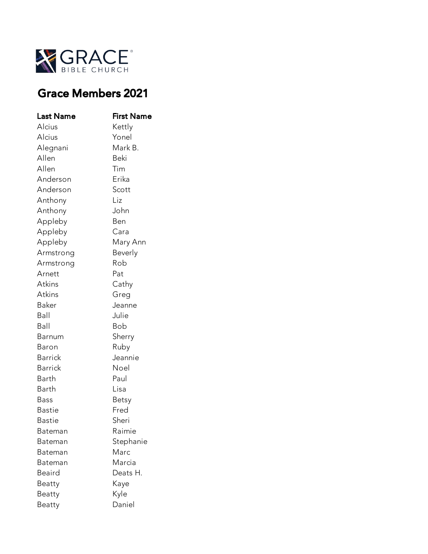

## Grace Members 2021

| Last Name     | First Name |
|---------------|------------|
| Alcius        | Kettly     |
| Alcius        | Yonel      |
| Alegnani      | Mark B.    |
| Allen         | Beki       |
| Allen         | Tim        |
| Anderson      | Erika      |
| Anderson      | Scott      |
| Anthony       | Liz        |
| Anthony       | John       |
| Appleby       | Ben        |
| Appleby       | Cara       |
| Appleby       | Mary Ann   |
| Armstrong     | Beverly    |
| Armstrong     | Rob        |
| Arnett        | Pat        |
| Atkins        | Cathy      |
| Atkins        | Greg       |
| Baker         | Jeanne     |
| Ball          | Julie      |
| Ball          | Bob        |
| Barnum        | Sherry     |
| Baron         | Ruby       |
| Barrick       | Jeannie    |
| Barrick       | Noel       |
| Barth         | Paul       |
| Barth         | Lisa       |
| Bass          | Betsy      |
| Bastie        | Fred       |
| <b>Bastie</b> | Sheri      |
| Bateman       | Raimie     |
| Bateman       | Stephanie  |
| Bateman       | Marc       |
| Bateman       | Marcia     |
| Beaird        | Deats H.   |
| Beatty        | Kaye       |
| Beatty        | Kyle       |
| Beatty        | Daniel     |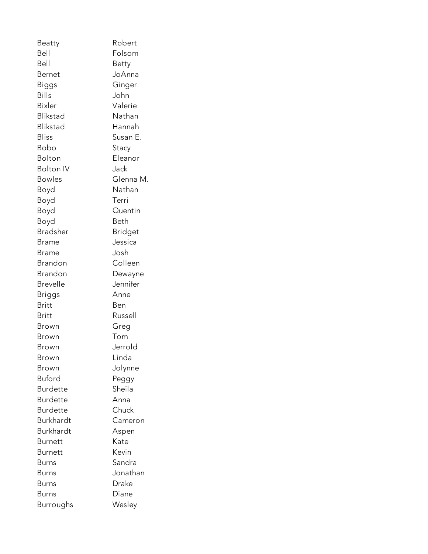Beatty Robert Bell Folsom Bell Betty Bernet JoAnna Biggs Ginger Bills John Bixler Valerie Blikstad Nathan Blikstad Hannah Bliss Susan E. Bobo Stacy Bolton Eleanor Bolton IV Jack Bowles Glenna M. Boyd Nathan Boyd Terri Boyd Quentin Boyd Beth Bradsher Bridget Brame Jessica Brame Josh Brandon Colleen Brandon Dewayne Brevelle Jennifer Briggs Anne Britt Ben Britt Russell Brown Greg Brown Tom Brown Jerrold Brown Linda Brown Jolynne Buford Peggy Burdette Sheila Burdette Anna Burdette Chuck Burkhardt Cameron Burkhardt Aspen Burnett Kate Burnett Kevin Burns Sandra Burns Jonathan Burns Drake Burns Diane Burroughs Wesley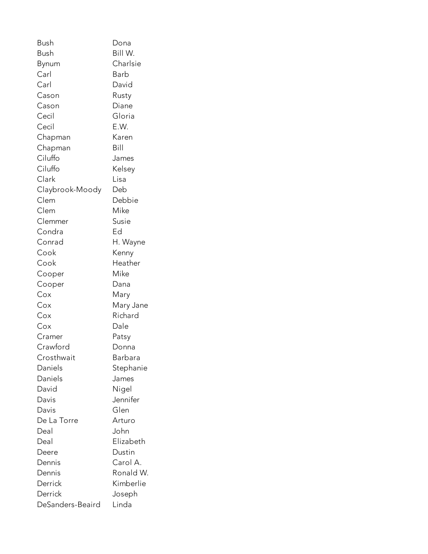| Bush             | Dona      |
|------------------|-----------|
| <b>Bush</b>      | Bill W.   |
| Bynum            | Charlsie  |
| Carl             | Barb      |
| Carl             | David     |
| Cason            | Rusty     |
| Cason            | Diane     |
| Cecil            | Gloria    |
| Cecil            | E.W.      |
| Chapman          | Karen     |
| Chapman          | Bill      |
| Ciluffo          | James     |
| Ciluffo          | Kelsey    |
| Clark            | Lisa      |
| Claybrook-Moody  | Deb       |
| Clem             | Debbie    |
| Clem             | Mike      |
| Clemmer          | Susie     |
| Condra           | Ed        |
| Conrad           | H. Wayne  |
| Cook             | Kenny     |
| Cook             | Heather   |
| Cooper           | Mike      |
| Cooper           | Dana      |
| Cox              | Mary      |
| Cox              | Mary Jane |
| Cox              | Richard   |
| Cox              | Dale      |
| Cramer           | Patsy     |
| Crawford         | Donna     |
| Crosthwait       | Barbara   |
| Daniels          | Stephanie |
| Daniels          | James     |
| David            | Nigel     |
| Davis            | Jennifer  |
| Davis            | Glen      |
| De La Torre      | Arturo    |
| Deal             | John      |
| Deal             | Elizabeth |
| Deere            | Dustin    |
| Dennis           | Carol A.  |
| Dennis           | Ronald W. |
| Derrick          | Kimberlie |
| Derrick          | Joseph    |
| DeSanders-Beaird | Linda     |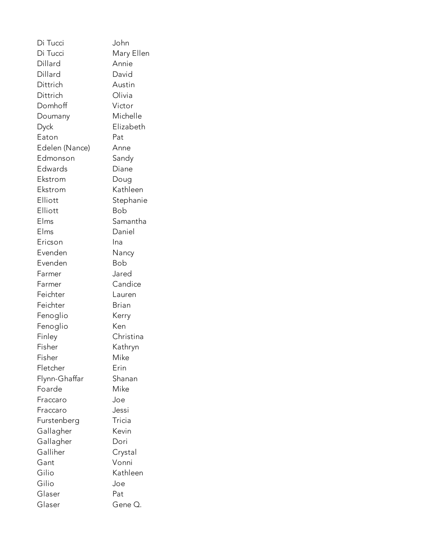Di Tucci John Di Tucci Mary Ellen Dillard Annie Dillard David Dittrich Austin Dittrich Olivia Domhoff Victor Doumany Michelle Dyck Elizabeth Eaton Pat Edelen (Nance) Anne Edmonson Sandy Edwards Diane Ekstrom Doug Ekstrom Kathleen Elliott Stephanie Elliott Bob Elms Samantha Elms Daniel Ericson Ina Evenden Nancy Evenden Bob Farmer Jared Farmer Candice Feichter Lauren Feichter Brian Fenoglio Kerry Fenoglio Ken Finley Christina Fisher Kathryn Fisher Mike Fletcher Erin Flynn-Ghaffar Shanan Foarde Mike Fraccaro Joe Fraccaro Jessi Furstenberg Tricia Gallagher Kevin Gallagher Dori Galliher Crystal Gant Vonni Gilio Kathleen Gilio Joe Glaser Pat Glaser Gene Q.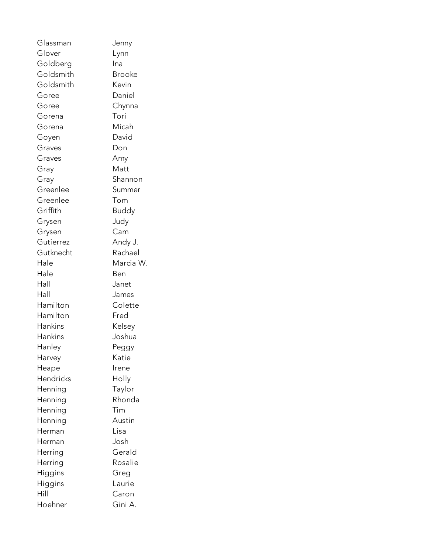Glassman Jenny Glover Lynn Goldberg Ina Goldsmith Brooke Goldsmith Kevin Goree Daniel Goree Chynna Gorena Tori Gorena Micah Goyen David Graves Don Graves Amy Gray Matt Gray Shannon Greenlee Summer Greenlee Tom Griffith Buddy Grysen Judy Grysen Cam Gutierrez Andy J. Gutknecht Rachael Hale Marcia W. Hale **Ben** Hall Janet Hall James Hamilton Colette Hamilton Fred Hankins Kelsey Hankins Joshua Hanley Peggy Harvey Katie Heape Irene Hendricks Holly Henning Taylor Henning Rhonda Henning Tim Henning **Austin** Herman Lisa Herman Josh Herring Gerald Herring Rosalie Higgins Greg Higgins Laurie Hill Caron Hoehner Gini A.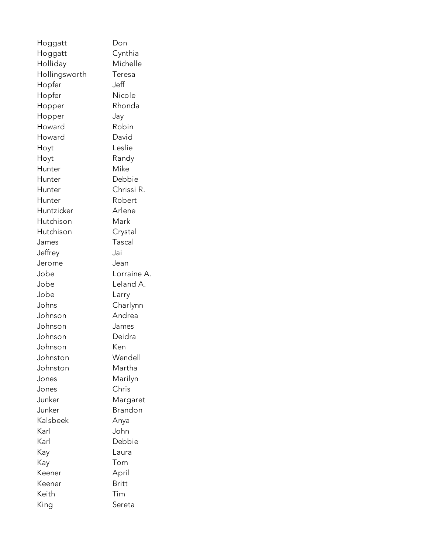| Hoggatt       | Don          |
|---------------|--------------|
| Hoggatt       | Cynthia      |
| Holliday      | Michelle     |
| Hollingsworth | Teresa       |
| Hopfer        | Jeff         |
| Hopfer        | Nicole       |
| Hopper        | Rhonda       |
| Hopper        | Jay          |
| Howard        | Robin        |
| Howard        | David        |
| Hoyt          | Leslie       |
| Hoyt          | Randy        |
| Hunter        | Mike         |
| Hunter        | Debbie       |
| Hunter        | Chrissi R.   |
| Hunter        | Robert       |
| Huntzicker    | Arlene       |
| Hutchison     | Mark         |
| Hutchison     | Crystal      |
| James         | Tascal       |
| Jeffrey       | Jai          |
| Jerome        | Jean         |
| Jobe          | Lorraine A.  |
| Jobe          | Leland A.    |
| Jobe          | Larry        |
| Johns         | Charlynn     |
| Johnson       | Andrea       |
| Johnson       | James        |
| Johnson       | Deidra       |
| Johnson       | Ken          |
| Johnston      | Wendell      |
| Johnston      | Martha       |
| Jones         | Marilyn      |
| Jones         | Chris        |
| Junker        | Margaret     |
| Junker        | Brandon      |
| Kalsbeek      | Anya         |
| Karl          | John         |
| Karl          | Debbie       |
| Kay           | Laura        |
| Kay           | Tom          |
| Keener        | April        |
| Keener        | <b>Britt</b> |
| Keith         | Tim          |
| King          | Sereta       |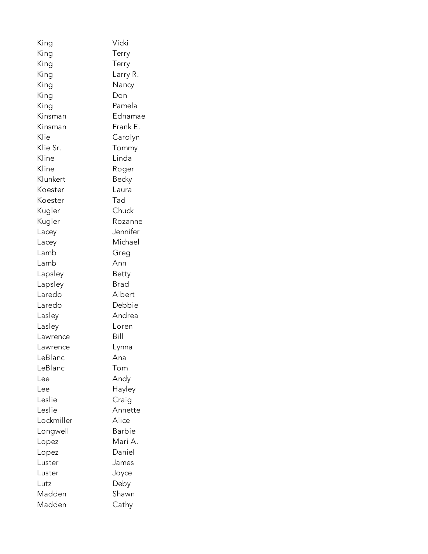| King       | Vicki         |
|------------|---------------|
| King       | Terry         |
| King       | Terry         |
| King       | Larry R.      |
| King       | Nancy         |
| King       | Don           |
| King       | Pamela        |
| Kinsman    | Ednamae       |
| Kinsman    | Frank E.      |
| Klie       | Carolyn       |
| Klie Sr.   | Tommy         |
| Kline      | Linda         |
| Kline      | Roger         |
| Klunkert   | Becky         |
| Koester    | Laura         |
| Koester    | Tad           |
| Kugler     | Chuck         |
| Kugler     | Rozanne       |
| Lacey      | Jennifer      |
| Lacey      | Michael       |
| Lamb       | Greg          |
| Lamb       | Ann           |
| Lapsley    | Betty         |
| Lapsley    | Brad          |
| Laredo     | Albert        |
| Laredo     | Debbie        |
| Lasley     | Andrea        |
| Lasley     | Loren         |
| Lawrence   | Bill          |
| Lawrence   | Lynna         |
| LeBlanc    | Ana           |
| LeBlanc    | Tom           |
| Lee        | Andy          |
| Lee        | Hayley        |
| Leslie     | Craig         |
| Leslie     | Annette       |
| Lockmiller | Alice         |
| Longwell   | <b>Barbie</b> |
| Lopez      | Mari A.       |
| Lopez      | Daniel        |
| Luster     | James         |
| Luster     | Joyce         |
| Lutz       | Deby          |
| Madden     | Shawn         |
| Madden     | Cathy         |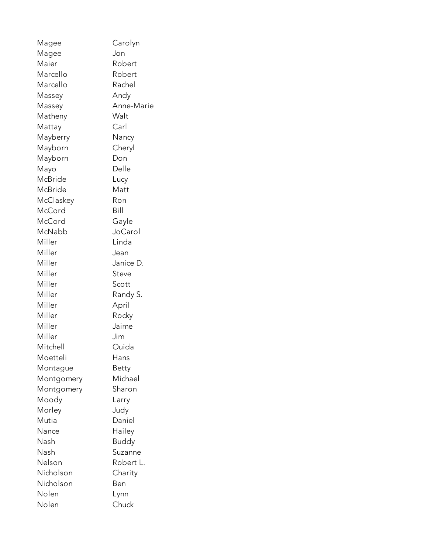| Magee      | Carolyn      |
|------------|--------------|
| Magee      | Jon          |
| Maier      | Robert       |
| Marcello   | Robert       |
| Marcello   | Rachel       |
| Massey     | Andy         |
| Massey     | Anne-Marie   |
| Matheny    | Walt         |
| Mattay     | Carl         |
| Mayberry   | Nancy        |
| Mayborn    | Cheryl       |
| Mayborn    | Don          |
| Mayo       | Delle        |
| McBride    | Lucy         |
| McBride    | Matt         |
| McClaskey  | Ron          |
| McCord     | Bill         |
| McCord     | Gayle        |
| McNabb     | JoCarol      |
| Miller     | Linda        |
| Miller     | Jean         |
| Miller     | Janice D.    |
| Miller     | Steve        |
| Miller     | Scott        |
| Miller     | Randy S.     |
| Miller     | April        |
| Miller     | Rocky        |
| Miller     | Jaime        |
| Miller     | Jim          |
| Mitchell   | Ouida        |
| Moetteli   | Hans         |
| Montague   | Betty        |
| Montgomery | Michael      |
| Montgomery | Sharon       |
| Moody      | Larry        |
| Morley     | Judy         |
| Mutia      | Daniel       |
| Nance      | Hailey       |
| Nash       | <b>Buddy</b> |
| Nash       | Suzanne      |
| Nelson     | Robert L.    |
| Nicholson  | Charity      |
| Nicholson  | Ben          |
| Nolen      | Lynn         |
| Nolen      | Chuck        |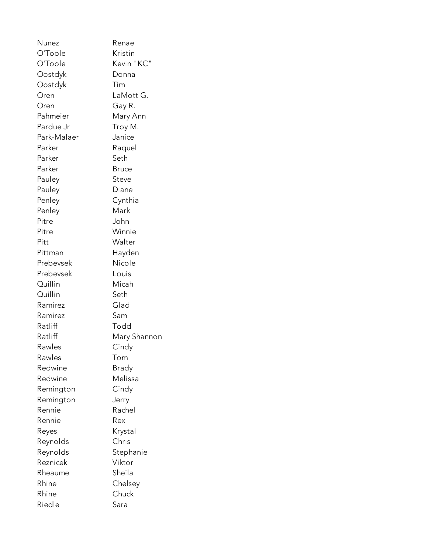Nunez Renae O'Toole Kristin O'Toole Kevin "KC" Oostdyk Donna Oostdyk Tim Oren LaMott G. Oren Gay R. Pahmeier Mary Ann Pardue Jr Troy M. Park-Malaer Janice Parker Raquel Parker Seth Parker Bruce Pauley Steve Pauley Diane Penley Cynthia Penley Mark Pitre John Pitre Winnie Pitt Walter Pittman Hayden Prebevsek Nicole Prebevsek Louis Quillin Micah Quillin Seth Ramirez Glad Ramirez Sam Ratliff Todd Ratliff Mary Shannon Rawles Cindy Rawles Tom Redwine Brady Redwine Melissa Remington Cindy Remington Jerry Rennie Rachel Rennie Rex Reyes Krystal Reynolds Chris Reynolds Stephanie Reznicek Viktor Rheaume Sheila Rhine Chelsey Rhine Chuck Riedle Sara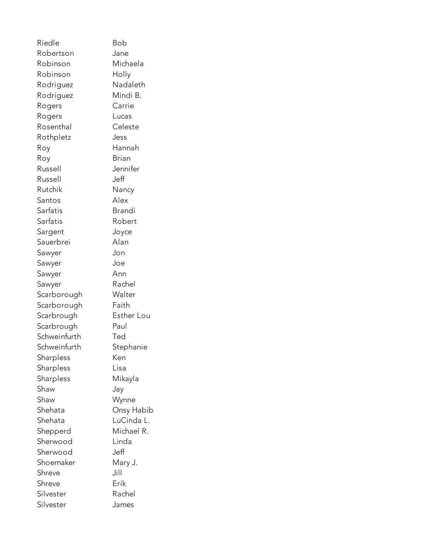Riedle Bob Robertson Jane Robinson Michaela Robinson Holly Rodriguez Nadaleth Rodriguez Mindi B. Rogers Carrie Rogers Lucas Rosenthal Celeste Rothpletz Jess Roy Hannah Roy Brian Russell Jennifer Russell Jeff Rutchik Nancy Santos Alex Sarfatis **Brandi** Sarfatis Robert Sargent Joyce Sauerbrei Alan Sawyer Jon Sawyer Joe Sawyer Ann Sawyer Rachel Scarborough Walter Scarborough Faith Scarbrough Esther Lou Scarbrough Paul Schweinfurth Ted Schweinfurth Stephanie Sharpless Ken Sharpless Lisa Sharpless Mikayla Shaw Jay Shaw Wynne Shehata Onsy Habib Shehata LuCinda L. Shepperd Michael R. Sherwood Linda Sherwood Jeff Shoemaker Mary J. Shreve Jill Shreve Erik Silvester Rachel Silvester James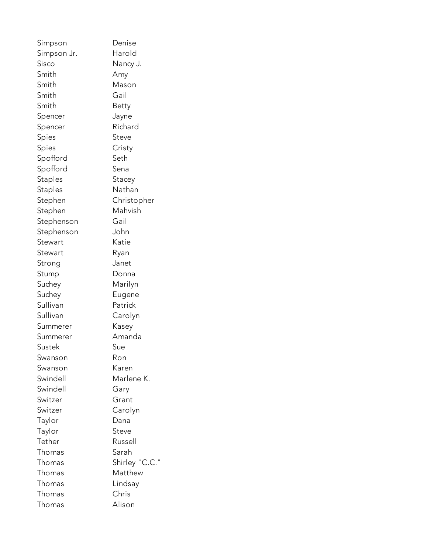Simpson Denise Simpson Jr. Harold Sisco Nancy J. Smith Amy Smith Mason Smith Gail Smith Betty Spencer Jayne Spencer Richard Spies Steve Spies Cristy Spofford Seth Spofford Sena Staples Stacey Staples Nathan Stephen Christopher Stephen Mahvish Stephenson Gail Stephenson John Stewart Katie Stewart Ryan Strong Janet Stump Donna Suchey Marilyn Suchey Eugene Sullivan Patrick Sullivan Carolyn Summerer Kasey Summerer Amanda Sustek Sue Swanson Ron Swanson Karen Swindell Marlene K. Swindell **Gary** Switzer Grant Switzer Carolyn Taylor Dana Taylor Steve Tether Russell Thomas Sarah Thomas Shirley "C.C." Thomas Matthew Thomas Lindsay Thomas Chris Thomas Alison